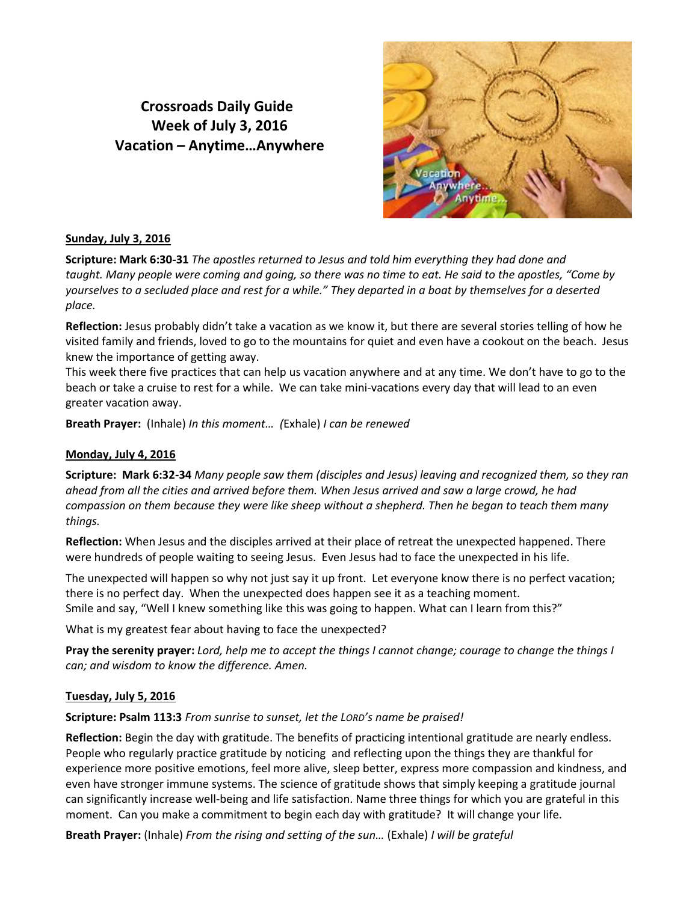# **Crossroads Daily Guide Week of July 3, 2016 Vacation – Anytime…Anywhere**



## **Sunday, July 3, 2016**

**Scripture: Mark 6:30-31** *The apostles returned to Jesus and told him everything they had done and taught. Many people were coming and going, so there was no time to eat. He said to the apostles, "Come by yourselves to a secluded place and rest for a while." They departed in a boat by themselves for a deserted place.*

**Reflection:** Jesus probably didn't take a vacation as we know it, but there are several stories telling of how he visited family and friends, loved to go to the mountains for quiet and even have a cookout on the beach. Jesus knew the importance of getting away.

This week there five practices that can help us vacation anywhere and at any time. We don't have to go to the beach or take a cruise to rest for a while. We can take mini-vacations every day that will lead to an even greater vacation away.

**Breath Prayer:** (Inhale) *In this moment… (*Exhale) *I can be renewed*

# **Monday, July 4, 2016**

**Scripture: Mark 6:32-34** *Many people saw them (disciples and Jesus) leaving and recognized them, so they ran ahead from all the cities and arrived before them. When Jesus arrived and saw a large crowd, he had compassion on them because they were like sheep without a shepherd. Then he began to teach them many things.* 

**Reflection:** When Jesus and the disciples arrived at their place of retreat the unexpected happened. There were hundreds of people waiting to seeing Jesus. Even Jesus had to face the unexpected in his life.

The unexpected will happen so why not just say it up front. Let everyone know there is no perfect vacation; there is no perfect day. When the unexpected does happen see it as a teaching moment. Smile and say, "Well I knew something like this was going to happen. What can I learn from this?"

What is my greatest fear about having to face the unexpected?

**Pray the serenity prayer:** *Lord, help me to accept the things I cannot change; courage to change the things I can; and wisdom to know the difference. Amen.*

## **Tuesday, July 5, 2016**

**Scripture: Psalm 113:3** *From sunrise to sunset, let the LORD's name be praised!*

**Reflection:** Begin the day with gratitude. The benefits of practicing intentional gratitude are nearly endless. People who regularly practice gratitude by noticing and reflecting upon the things they are thankful for experience more positive emotions, feel more alive, sleep better, express more compassion and kindness, and even have stronger immune systems. The science of gratitude shows that simply keeping a gratitude journal can significantly increase well-being and life satisfaction. Name three things for which you are grateful in this moment. Can you make a commitment to begin each day with gratitude? It will change your life.

**Breath Prayer:** (Inhale) *From the rising and setting of the sun…* (Exhale) *I will be grateful*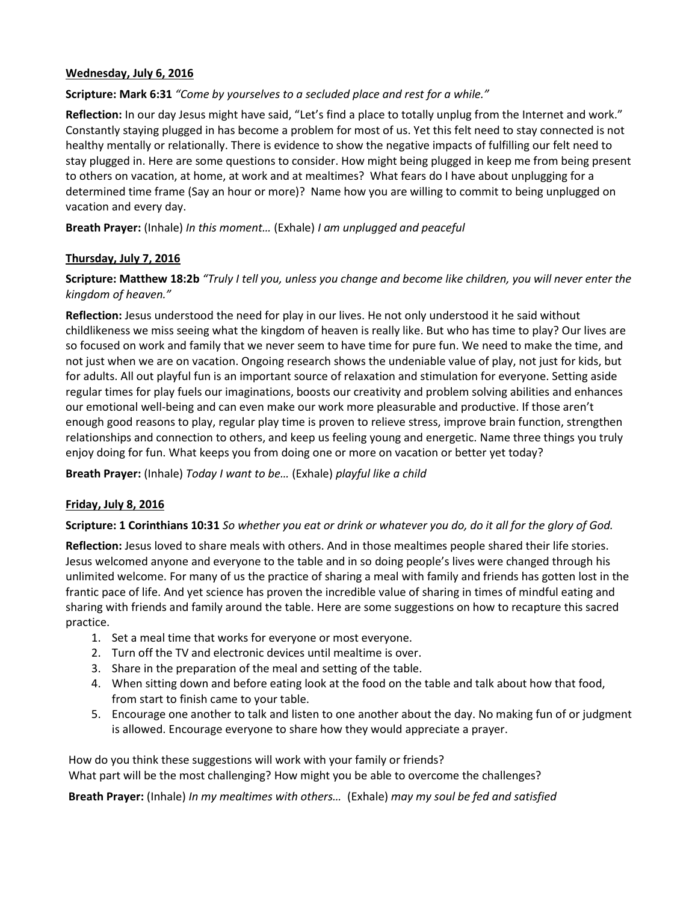## **Wednesday, July 6, 2016**

# **Scripture: Mark 6:31** *"Come by yourselves to a secluded place and rest for a while."*

**Reflection:** In our day Jesus might have said, "Let's find a place to totally unplug from the Internet and work." Constantly staying plugged in has become a problem for most of us. Yet this felt need to stay connected is not healthy mentally or relationally. There is evidence to show the negative impacts of fulfilling our felt need to stay plugged in. Here are some questions to consider. How might being plugged in keep me from being present to others on vacation, at home, at work and at mealtimes? What fears do I have about unplugging for a determined time frame (Say an hour or more)? Name how you are willing to commit to being unplugged on vacation and every day.

**Breath Prayer:** (Inhale) *In this moment…* (Exhale) *I am unplugged and peaceful*

## **Thursday, July 7, 2016**

**Scripture: Matthew 18:2b** *"Truly I tell you, unless you change and become like children, you will never enter the kingdom of heaven."*

**Reflection:** Jesus understood the need for play in our lives. He not only understood it he said without childlikeness we miss seeing what the kingdom of heaven is really like. But who has time to play? Our lives are so focused on work and family that we never seem to have time for pure fun. We need to make the time, and not just when we are on vacation. Ongoing research shows the undeniable value of play, not just for kids, but for adults. All out playful fun is an important source of relaxation and stimulation for everyone. Setting aside regular times for play fuels our imaginations, boosts our creativity and problem solving abilities and enhances our emotional well-being and can even make our work more pleasurable and productive. If those aren't enough good reasons to play, regular play time is proven to relieve stress, improve brain function, strengthen relationships and connection to others, and keep us feeling young and energetic. Name three things you truly enjoy doing for fun. What keeps you from doing one or more on vacation or better yet today?

**Breath Prayer:** (Inhale) *Today I want to be…* (Exhale) *playful like a child*

## **Friday, July 8, 2016**

## **Scripture: 1 Corinthians 10:31** *So whether you eat or drink or whatever you do, do it all for the glory of God.*

**Reflection:** Jesus loved to share meals with others. And in those mealtimes people shared their life stories. Jesus welcomed anyone and everyone to the table and in so doing people's lives were changed through his unlimited welcome. For many of us the practice of sharing a meal with family and friends has gotten lost in the frantic pace of life. And yet science has proven the incredible value of sharing in times of mindful eating and sharing with friends and family around the table. Here are some suggestions on how to recapture this sacred practice.

- 1. Set a meal time that works for everyone or most everyone.
- 2. Turn off the TV and electronic devices until mealtime is over.
- 3. Share in the preparation of the meal and setting of the table.
- 4. When sitting down and before eating look at the food on the table and talk about how that food, from start to finish came to your table.
- 5. Encourage one another to talk and listen to one another about the day. No making fun of or judgment is allowed. Encourage everyone to share how they would appreciate a prayer.

How do you think these suggestions will work with your family or friends? What part will be the most challenging? How might you be able to overcome the challenges?

**Breath Prayer:** (Inhale) *In my mealtimes with others…* (Exhale) *may my soul be fed and satisfied*